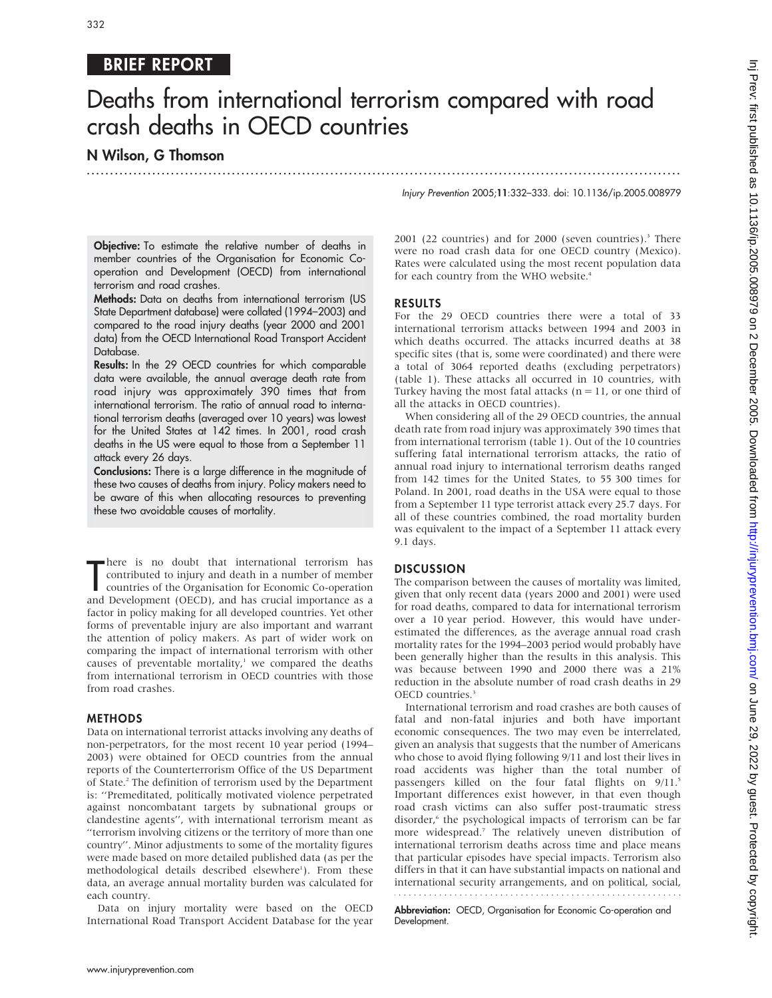## BRIEF REPORT

# Deaths from international terrorism compared with road crash deaths in OECD countries

...............................................................................................................................

## N Wilson, G Thomson

Injury Prevention 2005;11:332–333. doi: 10.1136/ip.2005.008979

**Objective:** To estimate the relative number of deaths in member countries of the Organisation for Economic Cooperation and Development (OECD) from international terrorism and road crashes.

Methods: Data on deaths from international terrorism (US State Department database) were collated (1994–2003) and compared to the road injury deaths (year 2000 and 2001 data) from the OECD International Road Transport Accident Database.

Results: In the 29 OECD countries for which comparable data were available, the annual average death rate from road injury was approximately 390 times that from international terrorism. The ratio of annual road to international terrorism deaths (averaged over 10 years) was lowest for the United States at 142 times. In 2001, road crash deaths in the US were equal to those from a September 11 attack every 26 days.

Conclusions: There is a large difference in the magnitude of these two causes of deaths from injury. Policy makers need to be aware of this when allocating resources to preventing these two avoidable causes of mortality.

There is no doubt that international terrorism has<br>
contributed to injury and death in a number of member<br>
countries of the Organisation for Economic Co-operation<br>
and Development (OECD), and has crucial importance as a here is no doubt that international terrorism has contributed to injury and death in a number of member countries of the Organisation for Economic Co-operation factor in policy making for all developed countries. Yet other forms of preventable injury are also important and warrant the attention of policy makers. As part of wider work on comparing the impact of international terrorism with other causes of preventable mortality, $\lambda$  we compared the deaths from international terrorism in OECD countries with those from road crashes.

#### METHODS

Data on international terrorist attacks involving any deaths of non-perpetrators, for the most recent 10 year period (1994– 2003) were obtained for OECD countries from the annual reports of the Counterterrorism Office of the US Department of State.2 The definition of terrorism used by the Department is: ''Premeditated, politically motivated violence perpetrated against noncombatant targets by subnational groups or clandestine agents'', with international terrorism meant as ''terrorism involving citizens or the territory of more than one country''. Minor adjustments to some of the mortality figures were made based on more detailed published data (as per the methodological details described elsewhere<sup>1</sup>). From these data, an average annual mortality burden was calculated for each country.

Data on injury mortality were based on the OECD International Road Transport Accident Database for the year  $2001$  (22 countries) and for  $2000$  (seven countries).<sup>3</sup> There were no road crash data for one OECD country (Mexico). Rates were calculated using the most recent population data for each country from the WHO website.<sup>4</sup>

#### RESULTS

For the 29 OECD countries there were a total of 33 international terrorism attacks between 1994 and 2003 in which deaths occurred. The attacks incurred deaths at 38 specific sites (that is, some were coordinated) and there were a total of 3064 reported deaths (excluding perpetrators) (table 1). These attacks all occurred in 10 countries, with Turkey having the most fatal attacks ( $n = 11$ , or one third of all the attacks in OECD countries).

When considering all of the 29 OECD countries, the annual death rate from road injury was approximately 390 times that from international terrorism (table 1). Out of the 10 countries suffering fatal international terrorism attacks, the ratio of annual road injury to international terrorism deaths ranged from 142 times for the United States, to 55 300 times for Poland. In 2001, road deaths in the USA were equal to those from a September 11 type terrorist attack every 25.7 days. For all of these countries combined, the road mortality burden was equivalent to the impact of a September 11 attack every 9.1 days.

#### **DISCUSSION**

The comparison between the causes of mortality was limited, given that only recent data (years 2000 and 2001) were used for road deaths, compared to data for international terrorism over a 10 year period. However, this would have underestimated the differences, as the average annual road crash mortality rates for the 1994–2003 period would probably have been generally higher than the results in this analysis. This was because between 1990 and 2000 there was a 21% reduction in the absolute number of road crash deaths in 29 OECD countries.<sup>3</sup>

International terrorism and road crashes are both causes of fatal and non-fatal injuries and both have important economic consequences. The two may even be interrelated, given an analysis that suggests that the number of Americans who chose to avoid flying following 9/11 and lost their lives in road accidents was higher than the total number of passengers killed on the four fatal flights on  $9/11$ .<sup>5</sup> Important differences exist however, in that even though road crash victims can also suffer post-traumatic stress disorder,<sup>6</sup> the psychological impacts of terrorism can be far more widespread.7 The relatively uneven distribution of international terrorism deaths across time and place means that particular episodes have special impacts. Terrorism also differs in that it can have substantial impacts on national and international security arrangements, and on political, social,

Abbreviation: OECD, Organisation for Economic Co-operation and Development.